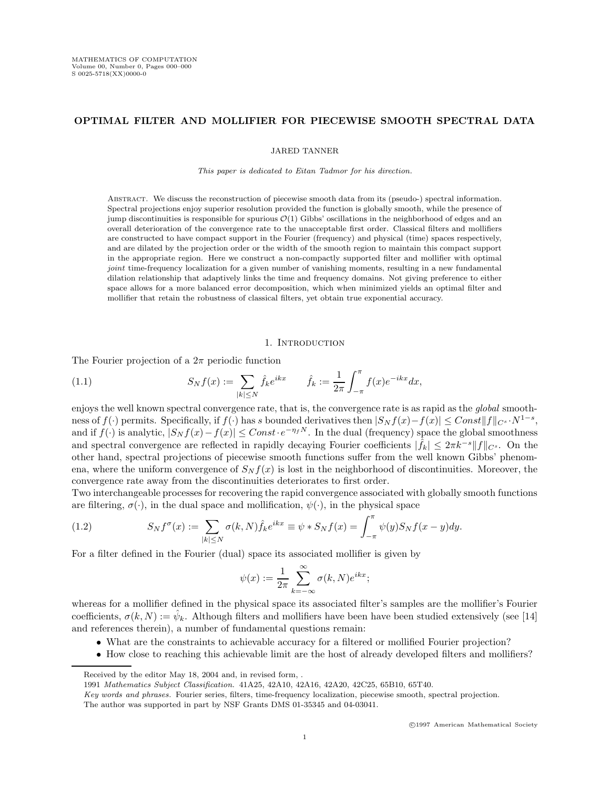# OPTIMAL FILTER AND MOLLIFIER FOR PIECEWISE SMOOTH SPECTRAL DATA

JARED TANNER

This paper is dedicated to Eitan Tadmor for his direction.

Abstract. We discuss the reconstruction of piecewise smooth data from its (pseudo-) spectral information. Spectral projections enjoy superior resolution provided the function is globally smooth, while the presence of jump discontinuities is responsible for spurious  $\mathcal{O}(1)$  Gibbs' oscillations in the neighborhood of edges and an overall deterioration of the convergence rate to the unacceptable first order. Classical filters and mollifiers are constructed to have compact support in the Fourier (frequency) and physical (time) spaces respectively, and are dilated by the projection order or the width of the smooth region to maintain this compact support in the appropriate region. Here we construct a non-compactly supported filter and mollifier with optimal joint time-frequency localization for a given number of vanishing moments, resulting in a new fundamental dilation relationship that adaptively links the time and frequency domains. Not giving preference to either space allows for a more balanced error decomposition, which when minimized yields an optimal filter and mollifier that retain the robustness of classical filters, yet obtain true exponential accuracy.

#### 1. INTRODUCTION

The Fourier projection of a  $2\pi$  periodic function

(1.1) 
$$
S_N f(x) := \sum_{|k| \le N} \hat{f}_k e^{ikx} \qquad \hat{f}_k := \frac{1}{2\pi} \int_{-\pi}^{\pi} f(x) e^{-ikx} dx,
$$

enjoys the well known spectral convergence rate, that is, the convergence rate is as rapid as the *global* smoothness of  $f(\cdot)$  permits. Specifically, if  $f(\cdot)$  has s bounded derivatives then  $|S_N f(x) - f(x)| \leq Const||f||_{C^s} \cdot N^{1-s}$ , and if  $f(\cdot)$  is analytic,  $|S_N f(x) - f(x)| \leq Const \cdot e^{-\eta_f N}$ . In the dual (frequency) space the global smoothness and spectral convergence are reflected in rapidly decaying Fourier coefficients  $|\hat{f}_k| \leq 2\pi k^{-s} ||f||_{C^s}$ . On the other hand, spectral projections of piecewise smooth functions suffer from the well known Gibbs' phenomena, where the uniform convergence of  $S_N f(x)$  is lost in the neighborhood of discontinuities. Moreover, the convergence rate away from the discontinuities deteriorates to first order.

Two interchangeable processes for recovering the rapid convergence associated with globally smooth functions are filtering,  $\sigma(\cdot)$ , in the dual space and mollification,  $\psi(\cdot)$ , in the physical space

(1.2) 
$$
S_N f^{\sigma}(x) := \sum_{|k| \leq N} \sigma(k, N) \hat{f}_k e^{ikx} \equiv \psi * S_N f(x) = \int_{-\pi}^{\pi} \psi(y) S_N f(x - y) dy.
$$

For a filter defined in the Fourier (dual) space its associated mollifier is given by

$$
\psi(x) := \frac{1}{2\pi} \sum_{k=-\infty}^{\infty} \sigma(k, N) e^{ikx};
$$

whereas for a mollifier defined in the physical space its associated filter's samples are the mollifier's Fourier coefficients,  $\sigma(k, N) := \hat{\psi}_k$ . Although filters and mollifiers have been have been studied extensively (see [14] and references therein), a number of fundamental questions remain:

- What are the constraints to achievable accuracy for a filtered or mollified Fourier projection?
- How close to reaching this achievable limit are the host of already developed filters and mollifiers?

Received by the editor May 18, 2004 and, in revised form, .

<sup>1991</sup> Mathematics Subject Classification. 41A25, 42A10, 42A16, 42A20, 42C25, 65B10, 65T40.

Key words and phrases. Fourier series, filters, time-frequency localization, piecewise smooth, spectral projection.

The author was supported in part by NSF Grants DMS 01-35345 and 04-03041.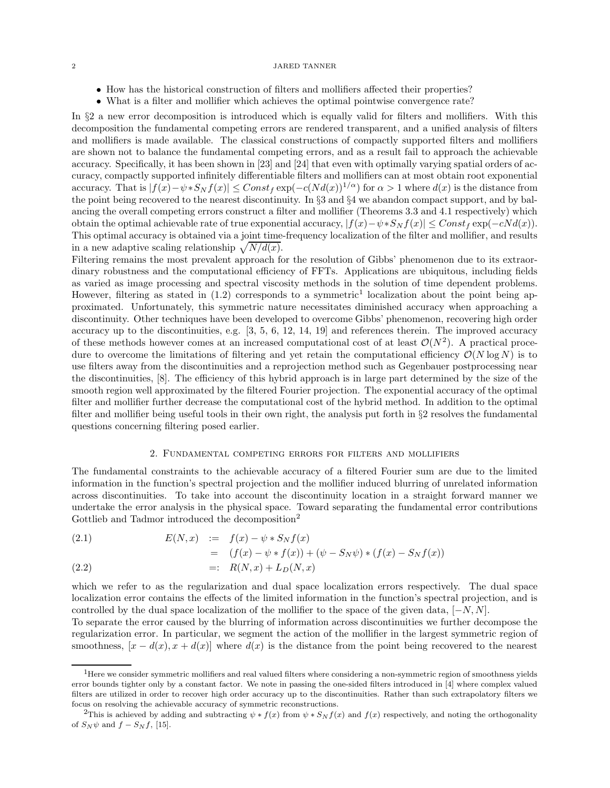- How has the historical construction of filters and mollifiers affected their properties?
- What is a filter and mollifier which achieves the optimal pointwise convergence rate?

In §2 a new error decomposition is introduced which is equally valid for filters and mollifiers. With this decomposition the fundamental competing errors are rendered transparent, and a unified analysis of filters and mollifiers is made available. The classical constructions of compactly supported filters and mollifiers are shown not to balance the fundamental competing errors, and as a result fail to approach the achievable accuracy. Specifically, it has been shown in [23] and [24] that even with optimally varying spatial orders of accuracy, compactly supported infinitely differentiable filters and mollifiers can at most obtain root exponential accuracy. That is  $|f(x)-\psi*S_Nf(x)| \leq Const_f \exp(-c(Nd(x))^{1/\alpha})$  for  $\alpha > 1$  where  $d(x)$  is the distance from the point being recovered to the nearest discontinuity. In §3 and §4 we abandon compact support, and by balancing the overall competing errors construct a filter and mollifier (Theorems 3.3 and 4.1 respectively) which obtain the optimal achievable rate of true exponential accuracy,  $|f(x)-\psi*S_N f(x)| \leq Const_f \exp(-cNd(x)).$ This optimal accuracy is obtained via a joint time-frequency localization of the filter and mollifier, and results in a new adaptive scaling relationship  $\sqrt{N/d(x)}$ .

Filtering remains the most prevalent approach for the resolution of Gibbs' phenomenon due to its extraordinary robustness and the computational efficiency of FFTs. Applications are ubiquitous, including fields as varied as image processing and spectral viscosity methods in the solution of time dependent problems. However, filtering as stated in  $(1.2)$  corresponds to a symmetric<sup>1</sup> localization about the point being approximated. Unfortunately, this symmetric nature necessitates diminished accuracy when approaching a discontinuity. Other techniques have been developed to overcome Gibbs' phenomenon, recovering high order accuracy up to the discontinuities, e.g. [3, 5, 6, 12, 14, 19] and references therein. The improved accuracy of these methods however comes at an increased computational cost of at least  $\mathcal{O}(N^2)$ . A practical procedure to overcome the limitations of filtering and yet retain the computational efficiency  $\mathcal{O}(N \log N)$  is to use filters away from the discontinuities and a reprojection method such as Gegenbauer postprocessing near the discontinuities, [8]. The efficiency of this hybrid approach is in large part determined by the size of the smooth region well approximated by the filtered Fourier projection. The exponential accuracy of the optimal filter and mollifier further decrease the computational cost of the hybrid method. In addition to the optimal filter and mollifier being useful tools in their own right, the analysis put forth in §2 resolves the fundamental questions concerning filtering posed earlier.

### 2. Fundamental competing errors for filters and mollifiers

The fundamental constraints to the achievable accuracy of a filtered Fourier sum are due to the limited information in the function's spectral projection and the mollifier induced blurring of unrelated information across discontinuities. To take into account the discontinuity location in a straight forward manner we undertake the error analysis in the physical space. Toward separating the fundamental error contributions Gottlieb and Tadmor introduced the decomposition<sup>2</sup>

(2.1) 
$$
E(N, x) := f(x) - \psi * S_N f(x)
$$

$$
= (f(x) - \psi * f(x)) + (\psi - S_N \psi) * (f(x) - S_N f(x))
$$

$$
(2.2) \qquad \qquad =: \quad R(N,x) + L_D(N,x)
$$

which we refer to as the regularization and dual space localization errors respectively. The dual space localization error contains the effects of the limited information in the function's spectral projection, and is controlled by the dual space localization of the mollifier to the space of the given data,  $[-N, N]$ .

To separate the error caused by the blurring of information across discontinuities we further decompose the regularization error. In particular, we segment the action of the mollifier in the largest symmetric region of smoothness,  $[x - d(x), x + d(x)]$  where  $d(x)$  is the distance from the point being recovered to the nearest

<sup>&</sup>lt;sup>1</sup>Here we consider symmetric mollifiers and real valued filters where considering a non-symmetric region of smoothness yields error bounds tighter only by a constant factor. We note in passing the one-sided filters introduced in [4] where complex valued filters are utilized in order to recover high order accuracy up to the discontinuities. Rather than such extrapolatory filters we focus on resolving the achievable accuracy of symmetric reconstructions.

<sup>&</sup>lt;sup>2</sup>This is achieved by adding and subtracting  $\psi * f(x)$  from  $\psi * S_N f(x)$  and  $f(x)$  respectively, and noting the orthogonality of  $S_N \psi$  and  $f - S_N f$ , [15].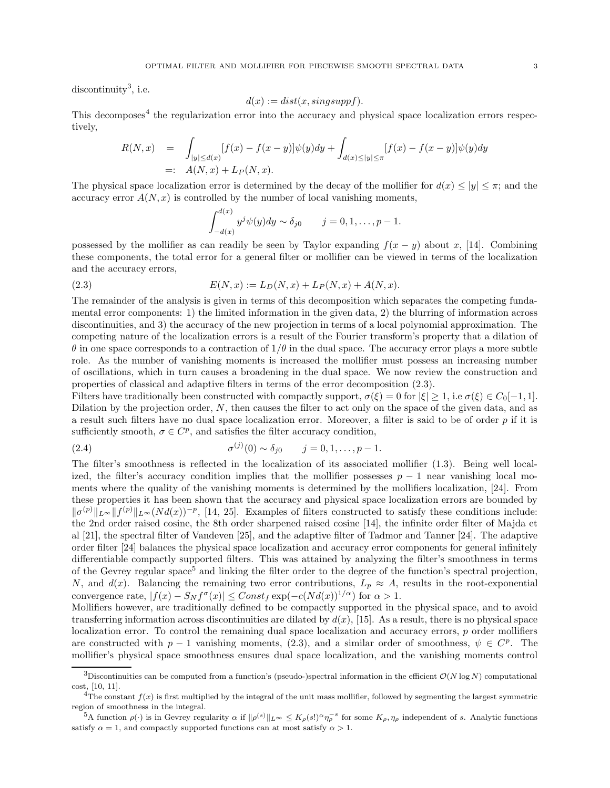discontinuity<sup>3</sup>, i.e.

$$
d(x) := dist(x, singsupp f).
$$

This decomposes<sup>4</sup> the regularization error into the accuracy and physical space localization errors respectively,

$$
R(N, x) = \int_{|y| \le d(x)} [f(x) - f(x - y)] \psi(y) dy + \int_{d(x) \le |y| \le \pi} [f(x) - f(x - y)] \psi(y) dy
$$
  
=:  $A(N, x) + L_P(N, x)$ .

The physical space localization error is determined by the decay of the mollifier for  $d(x) \le |y| \le \pi$ ; and the accuracy error  $A(N, x)$  is controlled by the number of local vanishing moments,

$$
\int_{-d(x)}^{d(x)} y^j \psi(y) dy \sim \delta_{j0} \qquad j=0,1,\ldots,p-1.
$$

possessed by the mollifier as can readily be seen by Taylor expanding  $f(x - y)$  about x, [14]. Combining these components, the total error for a general filter or mollifier can be viewed in terms of the localization and the accuracy errors,

(2.3) 
$$
E(N, x) := L_D(N, x) + L_P(N, x) + A(N, x).
$$

The remainder of the analysis is given in terms of this decomposition which separates the competing fundamental error components: 1) the limited information in the given data, 2) the blurring of information across discontinuities, and 3) the accuracy of the new projection in terms of a local polynomial approximation. The competing nature of the localization errors is a result of the Fourier transform's property that a dilation of  $\theta$  in one space corresponds to a contraction of  $1/\theta$  in the dual space. The accuracy error plays a more subtle role. As the number of vanishing moments is increased the mollifier must possess an increasing number of oscillations, which in turn causes a broadening in the dual space. We now review the construction and properties of classical and adaptive filters in terms of the error decomposition (2.3).

Filters have traditionally been constructed with compactly support,  $\sigma(\xi) = 0$  for  $|\xi| > 1$ , i.e  $\sigma(\xi) \in C_0[-1, 1]$ . Dilation by the projection order,  $N$ , then causes the filter to act only on the space of the given data, and as a result such filters have no dual space localization error. Moreover, a filter is said to be of order  $p$  if it is sufficiently smooth,  $\sigma \in C^p$ , and satisfies the filter accuracy condition,

(2.4) 
$$
\sigma^{(j)}(0) \sim \delta_{j0} \qquad j = 0, 1, ..., p - 1.
$$

The filter's smoothness is reflected in the localization of its associated mollifier (1.3). Being well localized, the filter's accuracy condition implies that the mollifier possesses  $p - 1$  near vanishing local moments where the quality of the vanishing moments is determined by the mollifiers localization, [24]. From these properties it has been shown that the accuracy and physical space localization errors are bounded by  $\|\sigma^{(p)}\|_{L^{\infty}} \|f^{(p)}\|_{L^{\infty}} (Nd(x))^{-p}$ , [14, 25]. Examples of filters constructed to satisfy these conditions include: the 2nd order raised cosine, the 8th order sharpened raised cosine [14], the infinite order filter of Majda et al [21], the spectral filter of Vandeven [25], and the adaptive filter of Tadmor and Tanner [24]. The adaptive order filter [24] balances the physical space localization and accuracy error components for general infinitely differentiable compactly supported filters. This was attained by analyzing the filter's smoothness in terms of the Gevrey regular space<sup>5</sup> and linking the filter order to the degree of the function's spectral projection, N, and  $d(x)$ . Balancing the remaining two error contributions,  $L_p \approx A$ , results in the root-exponential convergence rate,  $|f(x) - S_N f^{\sigma}(x)| \leq Const_f \exp(-c(Nd(x))^{1/\alpha})$  for  $\alpha > 1$ .

Mollifiers however, are traditionally defined to be compactly supported in the physical space, and to avoid transferring information across discontinuities are dilated by  $d(x)$ , [15]. As a result, there is no physical space localization error. To control the remaining dual space localization and accuracy errors,  $p$  order mollifiers are constructed with  $p-1$  vanishing moments, (2.3), and a similar order of smoothness,  $\psi \in C^p$ . The mollifier's physical space smoothness ensures dual space localization, and the vanishing moments control

<sup>&</sup>lt;sup>3</sup>Discontinuities can be computed from a function's (pseudo-)spectral information in the efficient  $\mathcal{O}(N \log N)$  computational cost, [10, 11].

<sup>&</sup>lt;sup>4</sup>The constant  $f(x)$  is first multiplied by the integral of the unit mass mollifier, followed by segmenting the largest symmetric region of smoothness in the integral.

<sup>&</sup>lt;sup>5</sup>A function  $\rho(\cdot)$  is in Gevrey regularity  $\alpha$  if  $\|\rho^{(s)}\|_{L^{\infty}} \leq K_{\rho}(s!)^{\alpha} \eta_{\rho}^{-s}$  for some  $K_{\rho}, \eta_{\rho}$  independent of s. Analytic functions satisfy  $\alpha = 1$ , and compactly supported functions can at most satisfy  $\alpha > 1$ .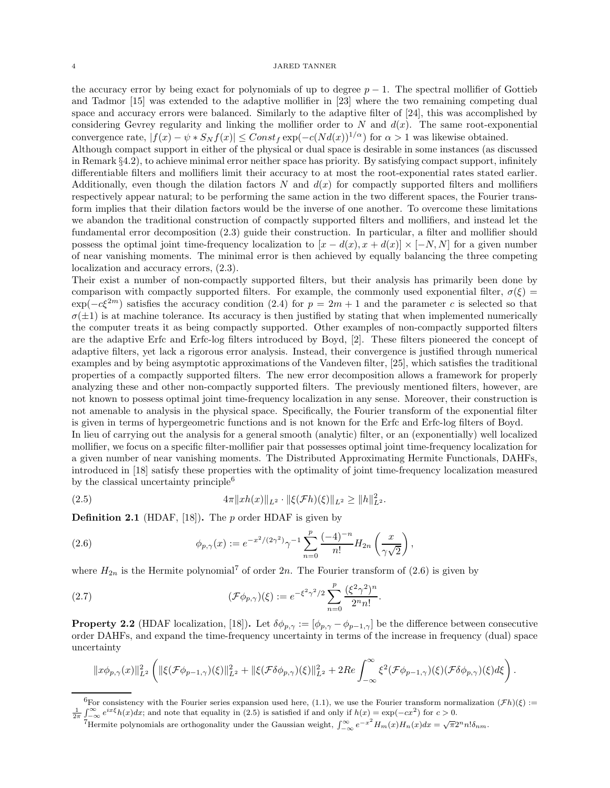the accuracy error by being exact for polynomials of up to degree  $p-1$ . The spectral mollifier of Gottieb and Tadmor [15] was extended to the adaptive mollifier in [23] where the two remaining competing dual space and accuracy errors were balanced. Similarly to the adaptive filter of [24], this was accomplished by considering Gevrey regularity and linking the mollifier order to N and  $d(x)$ . The same root-exponential convergence rate,  $|f(x) - \psi * S_N f(x)| \leq Const_f \exp(-c(Nd(x))^{1/\alpha})$  for  $\alpha > 1$  was likewise obtained.

Although compact support in either of the physical or dual space is desirable in some instances (as discussed in Remark §4.2), to achieve minimal error neither space has priority. By satisfying compact support, infinitely differentiable filters and mollifiers limit their accuracy to at most the root-exponential rates stated earlier. Additionally, even though the dilation factors  $N$  and  $d(x)$  for compactly supported filters and mollifiers respectively appear natural; to be performing the same action in the two different spaces, the Fourier transform implies that their dilation factors would be the inverse of one another. To overcome these limitations we abandon the traditional construction of compactly supported filters and mollifiers, and instead let the fundamental error decomposition (2.3) guide their construction. In particular, a filter and mollifier should possess the optimal joint time-frequency localization to  $[x - d(x), x + d(x)] \times [-N, N]$  for a given number of near vanishing moments. The minimal error is then achieved by equally balancing the three competing localization and accuracy errors, (2.3).

Their exist a number of non-compactly supported filters, but their analysis has primarily been done by comparison with compactly supported filters. For example, the commonly used exponential filter,  $\sigma(\xi)$  $\exp(-c\xi^{2m})$  satisfies the accuracy condition (2.4) for  $p = 2m + 1$  and the parameter c is selected so that  $\sigma(\pm 1)$  is at machine tolerance. Its accuracy is then justified by stating that when implemented numerically the computer treats it as being compactly supported. Other examples of non-compactly supported filters are the adaptive Erfc and Erfc-log filters introduced by Boyd, [2]. These filters pioneered the concept of adaptive filters, yet lack a rigorous error analysis. Instead, their convergence is justified through numerical examples and by being asymptotic approximations of the Vandeven filter, [25], which satisfies the traditional properties of a compactly supported filters. The new error decomposition allows a framework for properly analyzing these and other non-compactly supported filters. The previously mentioned filters, however, are not known to possess optimal joint time-frequency localization in any sense. Moreover, their construction is not amenable to analysis in the physical space. Specifically, the Fourier transform of the exponential filter is given in terms of hypergeometric functions and is not known for the Erfc and Erfc-log filters of Boyd.

In lieu of carrying out the analysis for a general smooth (analytic) filter, or an (exponentially) well localized mollifier, we focus on a specific filter-mollifier pair that possesses optimal joint time-frequency localization for a given number of near vanishing moments. The Distributed Approximating Hermite Functionals, DAHFs, introduced in [18] satisfy these properties with the optimality of joint time-frequency localization measured by the classical uncertainty principle<sup>6</sup>

(2.5) 
$$
4\pi||xh(x)||_{L^2} \cdot ||\xi(\mathcal{F}h)(\xi)||_{L^2} \ge ||h||_{L^2}^2.
$$

**Definition 2.1** (HDAF, [18]). The p order HDAF is given by

(2.6) 
$$
\phi_{p,\gamma}(x) := e^{-x^2/(2\gamma^2)} \gamma^{-1} \sum_{n=0}^p \frac{(-4)^{-n}}{n!} H_{2n}\left(\frac{x}{\gamma\sqrt{2}}\right),
$$

where  $H_{2n}$  is the Hermite polynomial<sup>7</sup> of order  $2n$ . The Fourier transform of  $(2.6)$  is given by

(2.7) 
$$
(\mathcal{F}\phi_{p,\gamma})(\xi) := e^{-\xi^2\gamma^2/2} \sum_{n=0}^p \frac{(\xi^2\gamma^2)^n}{2^n n!}.
$$

**Property 2.2** (HDAF localization, [18]). Let  $\delta\phi_{p,\gamma} := [\phi_{p,\gamma} - \phi_{p-1,\gamma}]$  be the difference between consecutive order DAHFs, and expand the time-frequency uncertainty in terms of the increase in frequency (dual) space uncertainty

$$
||x\phi_{p,\gamma}(x)||_{L^2}^2 \left(||\xi(\mathcal{F}\phi_{p-1,\gamma})(\xi)||_{L^2}^2 + ||\xi(\mathcal{F}\delta\phi_{p,\gamma})(\xi)||_{L^2}^2 + 2Re\int_{-\infty}^{\infty} \xi^2(\mathcal{F}\phi_{p-1,\gamma})(\xi)(\mathcal{F}\delta\phi_{p,\gamma})(\xi)d\xi\right).
$$

<sup>&</sup>lt;sup>6</sup>For consistency with the Fourier series expansion used here, (1.1), we use the Fourier transform normalization  $(\mathcal{F}h)(\xi)$  :=  $\frac{1}{2\pi} \int_{-\infty}^{\infty} e^{ix\xi} h(x) dx$ ; and note that equality in (2.5) is satisfied if and only if  $h(x) = \exp(-cx^2)$  for  $c > 0$ .

Thermite polynomials are orthogonality under the Gaussian weight,  $\int_{-\infty}^{\infty} e^{-x^2} H_m(x) H_n(x) dx = \sqrt{\pi} 2^n n! \delta_{nm}$ .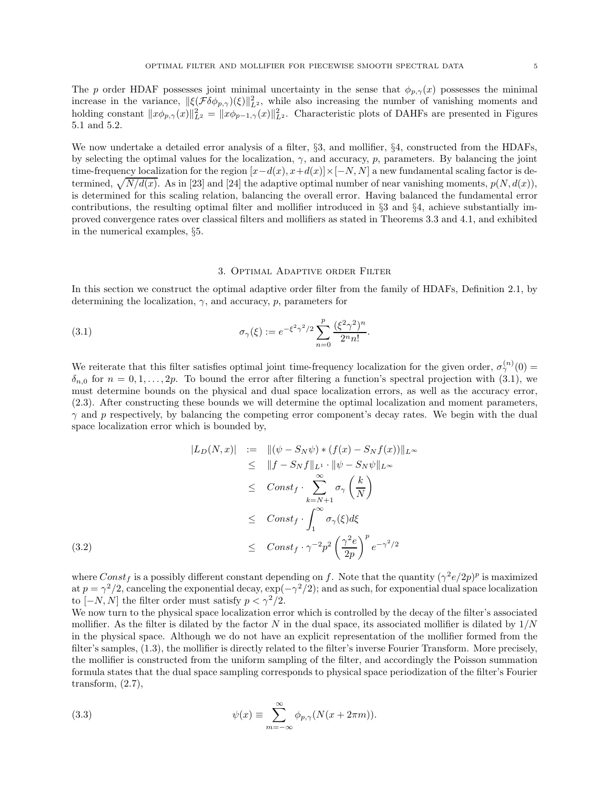The p order HDAF possesses joint minimal uncertainty in the sense that  $\phi_{p,\gamma}(x)$  possesses the minimal increase in the variance,  $\|\xi(\mathcal{F}\delta\phi_{p,\gamma})(\xi)\|_{L^2}^2$ , while also increasing the number of vanishing moments and holding constant  $||x\phi_{p,\gamma}(x)||_{L^2}^2 = ||x\phi_{p-1,\gamma}(x)||_{L^2}^2$ . Characteristic plots of DAHFs are presented in Figures 5.1 and 5.2.

We now undertake a detailed error analysis of a filter,  $\S3$ , and mollifier,  $\S4$ , constructed from the HDAFs, by selecting the optimal values for the localization,  $\gamma$ , and accuracy, p, parameters. By balancing the joint time-frequency localization for the region  $[x-d(x), x+d(x)]\times[-N, N]$  a new fundamental scaling factor is determined,  $\sqrt{N/d(x)}$ . As in [23] and [24] the adaptive optimal number of near vanishing moments,  $p(N, d(x))$ , is determined for this scaling relation, balancing the overall error. Having balanced the fundamental error contributions, the resulting optimal filter and mollifier introduced in §3 and §4, achieve substantially improved convergence rates over classical filters and mollifiers as stated in Theorems 3.3 and 4.1, and exhibited in the numerical examples, §5.

#### 3. Optimal Adaptive order Filter

In this section we construct the optimal adaptive order filter from the family of HDAFs, Definition 2.1, by determining the localization,  $\gamma$ , and accuracy, p, parameters for

(3.1) 
$$
\sigma_{\gamma}(\xi) := e^{-\xi^2 \gamma^2/2} \sum_{n=0}^p \frac{(\xi^2 \gamma^2)^n}{2^n n!}.
$$

We reiterate that this filter satisfies optimal joint time-frequency localization for the given order,  $\sigma^{(n)}_2(0)$  $\delta_{n,0}$  for  $n = 0, 1, \ldots, 2p$ . To bound the error after filtering a function's spectral projection with (3.1), we must determine bounds on the physical and dual space localization errors, as well as the accuracy error, (2.3). After constructing these bounds we will determine the optimal localization and moment parameters,  $\gamma$  and p respectively, by balancing the competing error component's decay rates. We begin with the dual space localization error which is bounded by,

$$
|L_D(N, x)| := ||(\psi - S_N \psi) * (f(x) - S_N f(x))||_{L^{\infty}}
$$
  
\n
$$
\leq ||f - S_N f||_{L^1} \cdot ||\psi - S_N \psi||_{L^{\infty}}
$$
  
\n
$$
\leq Const_f \cdot \sum_{k=N+1}^{\infty} \sigma_{\gamma} \left(\frac{k}{N}\right)
$$
  
\n
$$
\leq Const_f \cdot \int_{1}^{\infty} \sigma_{\gamma}(\xi) d\xi
$$
  
\n(3.2)  
\n
$$
\leq Const_f \cdot \gamma^{-2} p^2 \left(\frac{\gamma^2 e}{2p}\right)^p e^{-\gamma^2/2}
$$

where  $Const_f$  is a possibly different constant depending on f. Note that the quantity  $(\gamma^2 e/2p)^p$  is maximized at  $p = \gamma^2/2$ , canceling the exponential decay,  $\exp(-\gamma^2/2)$ ; and as such, for exponential dual space localization to  $[-N, N]$  the filter order must satisfy  $p < \gamma^2/2$ .

We now turn to the physical space localization error which is controlled by the decay of the filter's associated mollifier. As the filter is dilated by the factor N in the dual space, its associated mollifier is dilated by  $1/N$ in the physical space. Although we do not have an explicit representation of the mollifier formed from the filter's samples, (1.3), the mollifier is directly related to the filter's inverse Fourier Transform. More precisely, the mollifier is constructed from the uniform sampling of the filter, and accordingly the Poisson summation formula states that the dual space sampling corresponds to physical space periodization of the filter's Fourier transform,  $(2.7)$ ,

(3.3) 
$$
\psi(x) \equiv \sum_{m=-\infty}^{\infty} \phi_{p,\gamma}(N(x+2\pi m)).
$$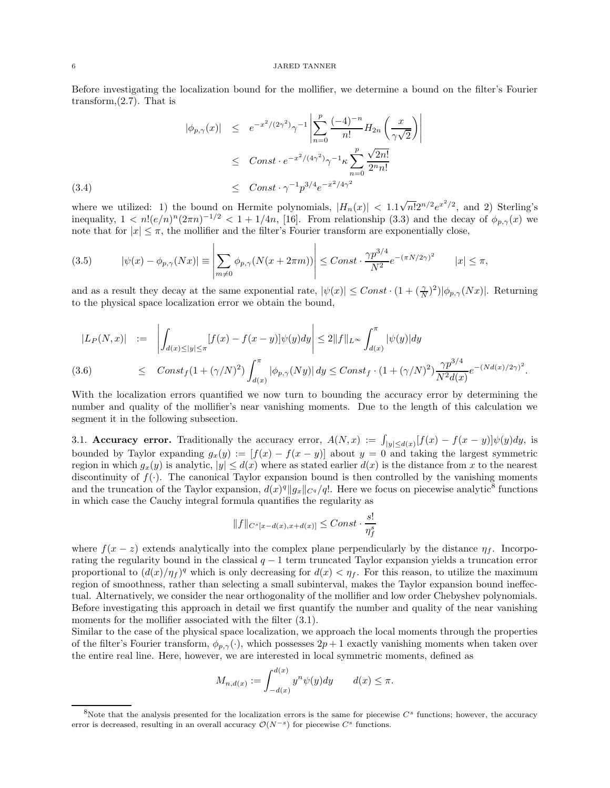Before investigating the localization bound for the mollifier, we determine a bound on the filter's Fourier transform,  $(2.7)$ . That is

$$
|\phi_{p,\gamma}(x)| \leq e^{-x^2/(2\gamma^2)} \gamma^{-1} \left| \sum_{n=0}^p \frac{(-4)^{-n}}{n!} H_{2n} \left( \frac{x}{\gamma \sqrt{2}} \right) \right|
$$
  

$$
\leq \text{Const} \cdot e^{-x^2/(4\gamma^2)} \gamma^{-1} \kappa \sum_{n=0}^p \frac{\sqrt{2n!}}{2^n n!}
$$
  
(3.4)  

$$
\leq \text{Const} \cdot \gamma^{-1} p^{3/4} e^{-x^2/4\gamma^2}
$$

where we utilized: 1) the bound on Hermite polynomials,  $|H_n(x)| < 1.1\sqrt{n!}2^{n/2}e^{x^2/2}$ , and 2) Sterling's inequality,  $1 < n! (e/n)^n (2\pi n)^{-1/2} < 1 + 1/4n$ , [16]. From relationship (3.3) and the decay of  $\phi_{p,\gamma}(x)$  we note that for  $|x| \leq \pi$ , the mollifier and the filter's Fourier transform are exponentially close,

(3.5) 
$$
|\psi(x) - \phi_{p,\gamma}(Nx)| \equiv \left| \sum_{m \neq 0} \phi_{p,\gamma}(N(x+2\pi m)) \right| \leq Const \cdot \frac{\gamma p^{3/4}}{N^2} e^{-(\pi N/2\gamma)^2} \qquad |x| \leq \pi,
$$

and as a result they decay at the same exponential rate,  $|\psi(x)| \leq Const \cdot (1 + (\frac{\gamma}{N})^2) |\phi_{p,\gamma}(Nx)|$ . Returning to the physical space localization error we obtain the bound,

$$
|L_P(N, x)| := \left| \int_{d(x) \le |y| \le \pi} [f(x) - f(x - y)] \psi(y) dy \right| \le 2 \|f\|_{L^\infty} \int_{d(x)}^{\pi} |\psi(y)| dy
$$
  
(3.6) 
$$
\le \text{Const}_f(1 + (\gamma/N)^2) \int_{d(x)}^{\pi} |\phi_{p,\gamma}(Ny)| dy \le \text{Const}_f \cdot (1 + (\gamma/N)^2) \frac{\gamma p^{3/4}}{N^2 d(x)} e^{-(Nd(x)/2\gamma)^2}.
$$

With the localization errors quantified we now turn to bounding the accuracy error by determining the number and quality of the mollifier's near vanishing moments. Due to the length of this calculation we segment it in the following subsection.

3.1. **Accuracy error.** Traditionally the accuracy error,  $A(N, x) := \int_{|y| \leq d(x)} [f(x) - f(x - y)] \psi(y) dy$ , is bounded by Taylor expanding  $g_x(y) := [f(x) - f(x - y)]$  about  $y = 0$  and taking the largest symmetric region in which  $g_x(y)$  is analytic,  $|y| \leq d(x)$  where as stated earlier  $d(x)$  is the distance from x to the nearest discontinuity of  $f(.)$ . The canonical Taylor expansion bound is then controlled by the vanishing moments and the truncation of the Taylor expansion,  $d(x)^q ||g_x||_{C^q}/q!$ . Here we focus on piecewise analytic<sup>8</sup> functions in which case the Cauchy integral formula quantifies the regularity as

$$
||f||_{C^{s}[x-d(x),x+d(x)]} \leq Const \cdot \frac{s!}{\eta_f^s}
$$

where  $f(x - z)$  extends analytically into the complex plane perpendicularly by the distance  $\eta_t$ . Incorporating the regularity bound in the classical  $q - 1$  term truncated Taylor expansion yields a truncation error proportional to  $(d(x)/\eta_f)^q$  which is only decreasing for  $d(x) < \eta_f$ . For this reason, to utilize the maximum region of smoothness, rather than selecting a small subinterval, makes the Taylor expansion bound ineffectual. Alternatively, we consider the near orthogonality of the mollifier and low order Chebyshev polynomials. Before investigating this approach in detail we first quantify the number and quality of the near vanishing moments for the mollifier associated with the filter  $(3.1)$ .

Similar to the case of the physical space localization, we approach the local moments through the properties of the filter's Fourier transform,  $\phi_{p,\gamma}(\cdot)$ , which possesses  $2p+1$  exactly vanishing moments when taken over the entire real line. Here, however, we are interested in local symmetric moments, defined as

$$
M_{n,d(x)} := \int_{-d(x)}^{d(x)} y^n \psi(y) dy \qquad d(x) \le \pi.
$$

 ${}^8$ Note that the analysis presented for the localization errors is the same for piecewise  $C^s$  functions; however, the accuracy error is decreased, resulting in an overall accuracy  $\mathcal{O}(N^{-s})$  for piecewise  $C^s$  functions.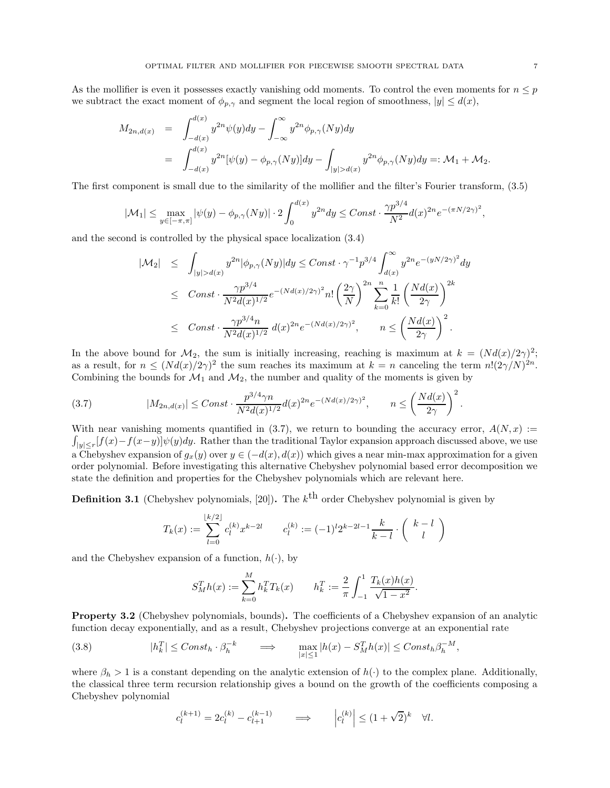As the mollifier is even it possesses exactly vanishing odd moments. To control the even moments for  $n \leq p$ we subtract the exact moment of  $\phi_{p,\gamma}$  and segment the local region of smoothness,  $|y| \leq d(x)$ ,

$$
M_{2n,d(x)} = \int_{-d(x)}^{d(x)} y^{2n} \psi(y) dy - \int_{-\infty}^{\infty} y^{2n} \phi_{p,\gamma}(Ny) dy
$$
  
= 
$$
\int_{-d(x)}^{d(x)} y^{2n} [\psi(y) - \phi_{p,\gamma}(Ny)] dy - \int_{|y| > d(x)} y^{2n} \phi_{p,\gamma}(Ny) dy =: \mathcal{M}_1 + \mathcal{M}_2.
$$

The first component is small due to the similarity of the mollifier and the filter's Fourier transform, (3.5)

$$
|\mathcal{M}_1| \le \max_{y \in [-\pi,\pi]} |\psi(y) - \phi_{p,\gamma}(Ny)| \cdot 2 \int_0^{d(x)} y^{2n} dy \le C \text{const} \cdot \frac{\gamma p^{3/4}}{N^2} d(x)^{2n} e^{-(\pi N/2\gamma)^2},
$$

and the second is controlled by the physical space localization (3.4)

$$
|\mathcal{M}_2| \leq \int_{|y| > d(x)} y^{2n} |\phi_{p,\gamma}(Ny)| dy \leq Const \cdot \gamma^{-1} p^{3/4} \int_{d(x)}^{\infty} y^{2n} e^{-(yN/2\gamma)^2} dy
$$
  
\n
$$
\leq Const \cdot \frac{\gamma p^{3/4}}{N^2 d(x)^{1/2}} e^{-(Nd(x)/2\gamma)^2} n! \left(\frac{2\gamma}{N}\right)^{2n} \sum_{k=0}^n \frac{1}{k!} \left(\frac{Nd(x)}{2\gamma}\right)^{2k}
$$
  
\n
$$
\leq Const \cdot \frac{\gamma p^{3/4} n}{N^2 d(x)^{1/2}} d(x)^{2n} e^{-(Nd(x)/2\gamma)^2}, \qquad n \leq \left(\frac{Nd(x)}{2\gamma}\right)^2.
$$

In the above bound for  $\mathcal{M}_2$ , the sum is initially increasing, reaching is maximum at  $k = (Nd(x)/2\gamma)^2$ ; as a result, for  $n \leq (Nd(x)/2\gamma)^2$  the sum reaches its maximum at  $k = n$  canceling the term  $n!(2\gamma/N)^{2n}$ . Combining the bounds for  $\mathcal{M}_1$  and  $\mathcal{M}_2$ , the number and quality of the moments is given by

(3.7) 
$$
|M_{2n,d(x)}| \leq Const \cdot \frac{p^{3/4} \gamma n}{N^2 d(x)^{1/2}} d(x)^{2n} e^{-(Nd(x)/2\gamma)^2}, \qquad n \leq \left(\frac{Nd(x)}{2\gamma}\right)^2
$$

With near vanishing moments quantified in (3.7), we return to bounding the accuracy error,  $A(N, x) :=$  $\int_{|y| \le r} [f(x) - f(x-y)] \psi(y) dy$ . Rather than the traditional Taylor expansion approach discussed above, we use a Chebyshev expansion of  $g_x(y)$  over  $y \in (-d(x), d(x))$  which gives a near min-max approximation for a given order polynomial. Before investigating this alternative Chebyshev polynomial based error decomposition we state the definition and properties for the Chebyshev polynomials which are relevant here.

**Definition 3.1** (Chebyshev polynomials, [20]). The  $k^{\text{th}}$  order Chebyshev polynomial is given by

$$
T_k(x) := \sum_{l=0}^{\lfloor k/2 \rfloor} c_l^{(k)} x^{k-2l} \qquad c_l^{(k)} := (-1)^l 2^{k-2l-1} \frac{k}{k-l} \cdot \binom{k-l}{l}
$$

and the Chebyshev expansion of a function,  $h(\cdot)$ , by

$$
S_M^T h(x) := \sum_{k=0}^M h_k^T T_k(x) \qquad h_k^T := \frac{2}{\pi} \int_{-1}^1 \frac{T_k(x)h(x)}{\sqrt{1-x^2}}.
$$

Property 3.2 (Chebyshev polynomials, bounds). The coefficients of a Chebyshev expansion of an analytic function decay exponentially, and as a result, Chebyshev projections converge at an exponential rate

(3.8) 
$$
|h_k^T| \leq Const_h \cdot \beta_h^{-k} \qquad \Longrightarrow \qquad \max_{|x| \leq 1} |h(x) - S_M^T h(x)| \leq Const_h \beta_h^{-M},
$$

where  $\beta_h > 1$  is a constant depending on the analytic extension of  $h(\cdot)$  to the complex plane. Additionally, the classical three term recursion relationship gives a bound on the growth of the coefficients composing a Chebyshev polynomial

$$
c_l^{(k+1)} = 2c_l^{(k)} - c_{l+1}^{(k-1)} \qquad \Longrightarrow \qquad \left| c_l^{(k)} \right| \le (1 + \sqrt{2})^k \quad \forall l.
$$

.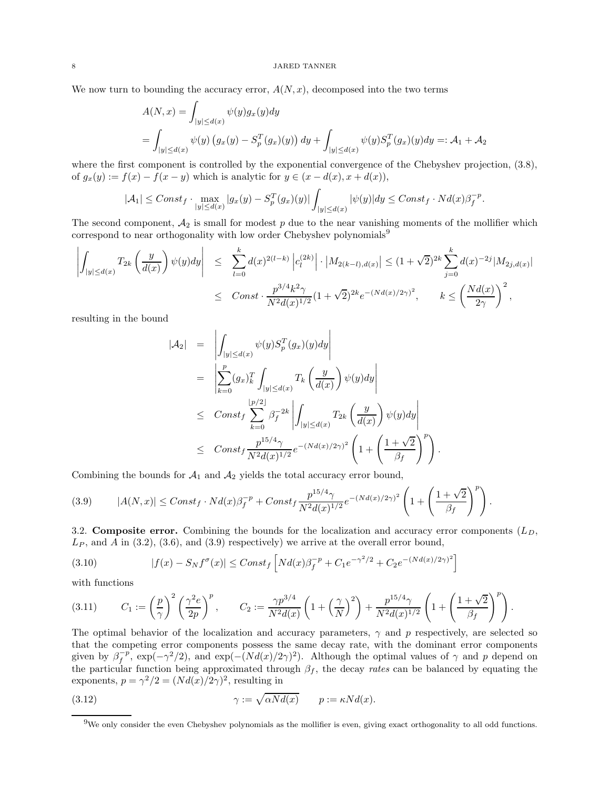We now turn to bounding the accuracy error,  $A(N, x)$ , decomposed into the two terms

$$
A(N, x) = \int_{|y| \le d(x)} \psi(y) g_x(y) dy
$$
  
= 
$$
\int_{|y| \le d(x)} \psi(y) (g_x(y) - S_p^T(g_x)(y)) dy + \int_{|y| \le d(x)} \psi(y) S_p^T(g_x)(y) dy =: A_1 + A_2
$$

where the first component is controlled by the exponential convergence of the Chebyshev projection, (3.8), of  $g_x(y) := f(x) - f(x - y)$  which is analytic for  $y \in (x - d(x), x + d(x)),$ 

$$
|\mathcal{A}_1| \leq Const_f \cdot \max_{|y| \leq d(x)} |g_x(y) - S_p^T(g_x)(y)| \int_{|y| \leq d(x)} |\psi(y)| dy \leq Const_f \cdot Nd(x) \beta_f^{-p}.
$$

The second component,  $A_2$  is small for modest  $p$  due to the near vanishing moments of the mollifier which correspond to near orthogonality with low order Chebyshev polynomials<sup>9</sup>

$$
\left| \int_{|y| \le d(x)} T_{2k} \left( \frac{y}{d(x)} \right) \psi(y) dy \right| \le \sum_{l=0}^{k} d(x)^{2(l-k)} \left| c_{l}^{(2k)} \right| \cdot \left| M_{2(k-l),d(x)} \right| \le (1+\sqrt{2})^{2k} \sum_{j=0}^{k} d(x)^{-2j} |M_{2j,d(x)}|
$$
  

$$
\le \text{Const} \cdot \frac{p^{3/4} k^2 \gamma}{N^2 d(x)^{1/2}} (1+\sqrt{2})^{2k} e^{-(Nd(x)/2\gamma)^2}, \qquad k \le \left( \frac{Nd(x)}{2\gamma} \right)^2,
$$

resulting in the bound

$$
|\mathcal{A}_2| = \left| \int_{|y| \le d(x)} \psi(y) S_p^T(g_x)(y) dy \right|
$$
  
\n
$$
= \left| \sum_{k=0}^p (g_x)_k^T \int_{|y| \le d(x)} T_k \left( \frac{y}{d(x)} \right) \psi(y) dy \right|
$$
  
\n
$$
\leq \text{Const}_f \sum_{k=0}^{\lfloor p/2 \rfloor} \beta_f^{-2k} \left| \int_{|y| \le d(x)} T_{2k} \left( \frac{y}{d(x)} \right) \psi(y) dy \right|
$$
  
\n
$$
\leq \text{Const}_f \frac{p^{15/4} \gamma}{N^2 d(x)^{1/2}} e^{-(Nd(x)/2\gamma)^2} \left( 1 + \left( \frac{1 + \sqrt{2}}{\beta_f} \right)^p \right).
$$

Combining the bounds for  $A_1$  and  $A_2$  yields the total accuracy error bound,

$$
(3.9) \qquad |A(N,x)| \leq Const_f \cdot Nd(x)\beta_f^{-p} + Const_f \frac{p^{15/4}\gamma}{N^2d(x)^{1/2}}e^{-(Nd(x)/2\gamma)^2} \left(1 + \left(\frac{1+\sqrt{2}}{\beta_f}\right)^p\right).
$$

3.2. Composite error. Combining the bounds for the localization and accuracy error components  $(L_D,$  $L_P$ , and A in (3.2), (3.6), and (3.9) respectively) we arrive at the overall error bound,

(3.10) 
$$
|f(x) - S_N f^{\sigma}(x)| \leq Const_f \left[ N d(x) \beta_f^{-p} + C_1 e^{-\gamma^2/2} + C_2 e^{-(Nd(x)/2\gamma)^2} \right]
$$

with functions

$$
(3.11) \t C_1 := \left(\frac{p}{\gamma}\right)^2 \left(\frac{\gamma^2 e}{2p}\right)^p, \t C_2 := \frac{\gamma p^{3/4}}{N^2 d(x)} \left(1 + \left(\frac{\gamma}{N}\right)^2\right) + \frac{p^{15/4} \gamma}{N^2 d(x)^{1/2}} \left(1 + \left(\frac{1 + \sqrt{2}}{\beta_f}\right)^p\right).
$$

The optimal behavior of the localization and accuracy parameters,  $\gamma$  and p respectively, are selected so that the competing error components possess the same decay rate, with the dominant error components given by  $\beta_f^{-p}$ ,  $\exp(-\gamma^2/2)$ , and  $\exp(-(Nd(x)/2\gamma)^2)$ . Although the optimal values of  $\gamma$  and  $p$  depend on the particular function being approximated through  $\beta_f$ , the decay rates can be balanced by equating the exponents,  $p = \gamma^2/2 = (N d(x)/2\gamma)^2$ , resulting in

(3.12) 
$$
\gamma := \sqrt{\alpha N d(x)} \qquad p := \kappa N d(x).
$$

<sup>9</sup>We only consider the even Chebyshev polynomials as the mollifier is even, giving exact orthogonality to all odd functions.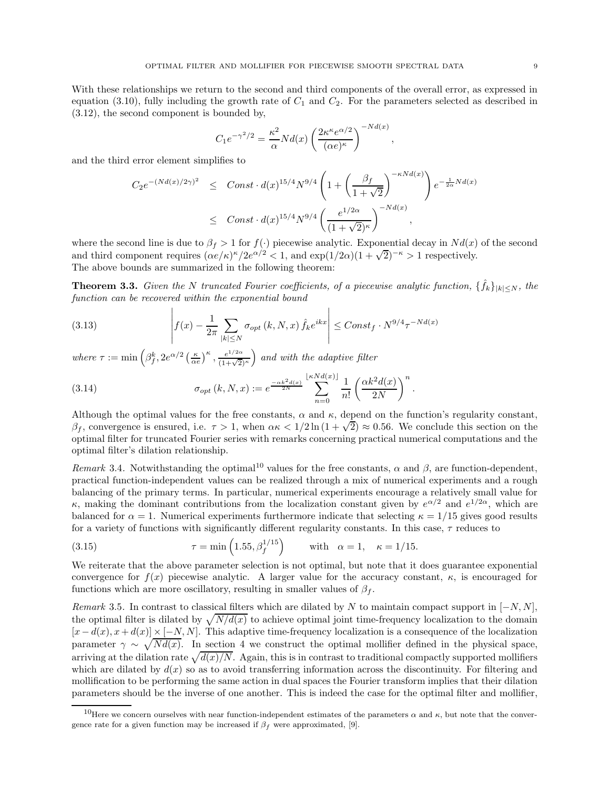With these relationships we return to the second and third components of the overall error, as expressed in equation (3.10), fully including the growth rate of  $C_1$  and  $C_2$ . For the parameters selected as described in (3.12), the second component is bounded by,

$$
C_1 e^{-\gamma^2/2} = \frac{\kappa^2}{\alpha} N d(x) \left( \frac{2\kappa^{\kappa} e^{\alpha/2}}{(\alpha e)^{\kappa}} \right)^{-N d(x)},
$$

and the third error element simplifies to

 $\overline{1}$ 

$$
C_2 e^{-(Nd(x)/2\gamma)^2} \leq Const \cdot d(x)^{15/4} N^{9/4} \left( 1 + \left( \frac{\beta_f}{1 + \sqrt{2}} \right)^{-\kappa N d(x)} \right) e^{-\frac{1}{2\alpha} N d(x)}
$$
  

$$
\leq Const \cdot d(x)^{15/4} N^{9/4} \left( \frac{e^{1/2\alpha}}{(1 + \sqrt{2})^{\kappa}} \right)^{-N d(x)},
$$

where the second line is due to  $\beta_f > 1$  for  $f(.)$  piecewise analytic. Exponential decay in  $Nd(x)$  of the second and third component requires  $(\alpha e/\kappa)^{\kappa}/2e^{\alpha/2} < 1$ , and  $\exp(1/2\alpha)(1+\sqrt{2})^{-\kappa} > 1$  respectively. The above bounds are summarized in the following theorem:

**Theorem 3.3.** Given the N truncated Fourier coefficients, of a piecewise analytic function,  $\{\hat{f}_k\}_{|k| \leq N}$ , the function can be recovered within the exponential bound

(3.13) 
$$
\left| f(x) - \frac{1}{2\pi} \sum_{|k| \leq N} \sigma_{opt}(k, N, x) \hat{f}_k e^{ikx} \right| \leq Const_f \cdot N^{9/4} \tau^{-Nd(x)}
$$

where  $\tau := \min \left( \beta_f^k, 2e^{\alpha/2} \left( \frac{\kappa}{\alpha e} \right)^{\kappa}, \frac{e^{1/2\alpha}}{(1+\sqrt{2})^{\kappa}} \right)$  and with the adaptive filter

(3.14) 
$$
\sigma_{opt}(k, N, x) := e^{\frac{-\alpha k^2 d(x)}{2N}} \sum_{n=0}^{\lfloor \kappa N d(x) \rfloor} \frac{1}{n!} \left( \frac{\alpha k^2 d(x)}{2N} \right)^n
$$

Although the optimal values for the free constants,  $\alpha$  and  $\kappa$ , depend on the function's regularity constant,  $β_f$ , convergence is ensured, i.e.  $τ > 1$ , when  $ακ < 1/2 \ln(1 + \sqrt{2}) \approx 0.56$ . We conclude this section on the optimal filter for truncated Fourier series with remarks concerning practical numerical computations and the optimal filter's dilation relationship.

.

Remark 3.4. Notwithstanding the optimal<sup>10</sup> values for the free constants,  $\alpha$  and  $\beta$ , are function-dependent, practical function-independent values can be realized through a mix of numerical experiments and a rough balancing of the primary terms. In particular, numerical experiments encourage a relatively small value for κ, making the dominant contributions from the localization constant given by  $e^{\alpha/2}$  and  $e^{1/2\alpha}$ , which are balanced for  $\alpha = 1$ . Numerical experiments furthermore indicate that selecting  $\kappa = 1/15$  gives good results for a variety of functions with significantly different regularity constants. In this case,  $\tau$  reduces to

(3.15) 
$$
\tau = \min\left(1.55, \beta_f^{1/15}\right) \quad \text{with} \quad \alpha = 1, \quad \kappa = 1/15.
$$

We reiterate that the above parameter selection is not optimal, but note that it does guarantee exponential convergence for  $f(x)$  piecewise analytic. A larger value for the accuracy constant,  $\kappa$ , is encouraged for functions which are more oscillatory, resulting in smaller values of  $\beta_f$ .

Remark 3.5. In contrast to classical filters which are dilated by N to maintain compact support in  $[-N, N]$ , the optimal filter is dilated by  $\sqrt{N/d(x)}$  to achieve optimal joint time-frequency localization to the domain  $[x - d(x), x + d(x)] \times [-N, N]$ . This adaptive time-frequency localization is a consequence of the localization parameter  $\gamma \sim \sqrt{Nd(x)}$ . In section 4 we construct the optimal mollifier defined in the physical space, arriving at the dilation rate  $\sqrt{d(x)/N}$ . Again, this is in contrast to traditional compactly supported mollifiers which are dilated by  $d(x)$  so as to avoid transferring information across the discontinuity. For filtering and mollification to be performing the same action in dual spaces the Fourier transform implies that their dilation parameters should be the inverse of one another. This is indeed the case for the optimal filter and mollifier,

<sup>&</sup>lt;sup>10</sup>Here we concern ourselves with near function-independent estimates of the parameters α and κ, but note that the convergence rate for a given function may be increased if  $\beta_f$  were approximated, [9].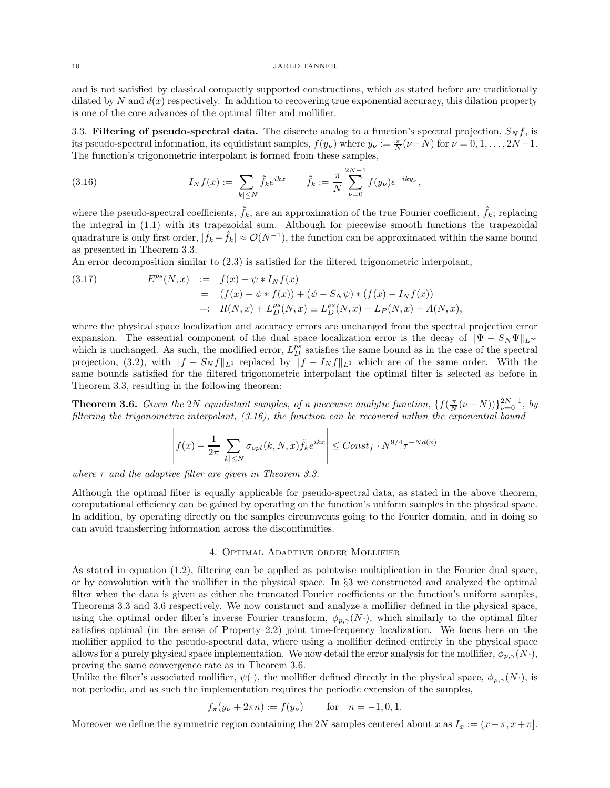and is not satisfied by classical compactly supported constructions, which as stated before are traditionally dilated by N and  $d(x)$  respectively. In addition to recovering true exponential accuracy, this dilation property is one of the core advances of the optimal filter and mollifier.

3.3. Filtering of pseudo-spectral data. The discrete analog to a function's spectral projection,  $S_N f$ , is its pseudo-spectral information, its equidistant samples,  $f(y_\nu)$  where  $y_\nu := \frac{\pi}{N}(\nu - N)$  for  $\nu = 0, 1, \ldots, 2N - 1$ . The function's trigonometric interpolant is formed from these samples,

(3.16) 
$$
I_N f(x) := \sum_{|k| \le N} \tilde{f}_k e^{ikx} \qquad \tilde{f}_k := \frac{\pi}{N} \sum_{\nu=0}^{2N-1} f(y_\nu) e^{-iky_\nu},
$$

where the pseudo-spectral coefficients,  $\tilde{f}_k$ , are an approximation of the true Fourier coefficient,  $\hat{f}_k$ ; replacing the integral in (1.1) with its trapezoidal sum. Although for piecewise smooth functions the trapezoidal quadrature is only first order,  $|\tilde{f}_k - \hat{f}_k| \approx \mathcal{O}(N^{-1})$ , the function can be approximated within the same bound as presented in Theorem 3.3.

An error decomposition similar to (2.3) is satisfied for the filtered trigonometric interpolant,

(3.17) 
$$
E^{ps}(N, x) := f(x) - \psi * I_N f(x)
$$

$$
= (f(x) - \psi * f(x)) + (\psi - S_N \psi) * (f(x) - I_N f(x))
$$

$$
=: R(N, x) + L_D^{ps}(N, x) \equiv L_D^{ps}(N, x) + L_P(N, x) + A(N, x),
$$

where the physical space localization and accuracy errors are unchanged from the spectral projection error expansion. The essential component of the dual space localization error is the decay of  $\|\Psi - S_N \Psi\|_{L^{\infty}}$ which is unchanged. As such, the modified error,  $L_D^{ps}$  satisfies the same bound as in the case of the spectral projection, (3.2), with  $||f - S_N f||_{L^1}$  replaced by  $||f - I_N f||_{L^1}$  which are of the same order. With the same bounds satisfied for the filtered trigonometric interpolant the optimal filter is selected as before in Theorem 3.3, resulting in the following theorem:

**Theorem 3.6.** Given the 2N equidistant samples, of a piecewise analytic function,  $\{f(\frac{\pi}{N}(\nu-N))\}_{\nu=0}^{2N-1}$ , by filtering the trigonometric interpolant, (3.16), the function can be recovered within the exponential bound

$$
\left| f(x) - \frac{1}{2\pi} \sum_{|k| \le N} \sigma_{opt}(k, N, x) \tilde{f}_k e^{ikx} \right| \le Const_f \cdot N^{9/4} \tau^{-Nd(x)}
$$

where  $\tau$  and the adaptive filter are given in Theorem 3.3.

Although the optimal filter is equally applicable for pseudo-spectral data, as stated in the above theorem, computational efficiency can be gained by operating on the function's uniform samples in the physical space. In addition, by operating directly on the samples circumvents going to the Fourier domain, and in doing so can avoid transferring information across the discontinuities.

## 4. Optimal Adaptive order Mollifier

As stated in equation (1.2), filtering can be applied as pointwise multiplication in the Fourier dual space, or by convolution with the mollifier in the physical space. In §3 we constructed and analyzed the optimal filter when the data is given as either the truncated Fourier coefficients or the function's uniform samples, Theorems 3.3 and 3.6 respectively. We now construct and analyze a mollifier defined in the physical space, using the optimal order filter's inverse Fourier transform,  $\phi_{p,\gamma}(N)$ , which similarly to the optimal filter satisfies optimal (in the sense of Property 2.2) joint time-frequency localization. We focus here on the mollifier applied to the pseudo-spectral data, where using a mollifier defined entirely in the physical space allows for a purely physical space implementation. We now detail the error analysis for the mollifier,  $\phi_{p,\gamma}(N\cdot)$ , proving the same convergence rate as in Theorem 3.6.

Unlike the filter's associated mollifier,  $\psi(\cdot)$ , the mollifier defined directly in the physical space,  $\phi_{p,\gamma}(N\cdot)$ , is not periodic, and as such the implementation requires the periodic extension of the samples,

$$
f_{\pi}(y_{\nu} + 2\pi n) := f(y_{\nu})
$$
 for  $n = -1, 0, 1$ .

Moreover we define the symmetric region containing the 2N samples centered about x as  $I_x := (x - \pi, x + \pi]$ .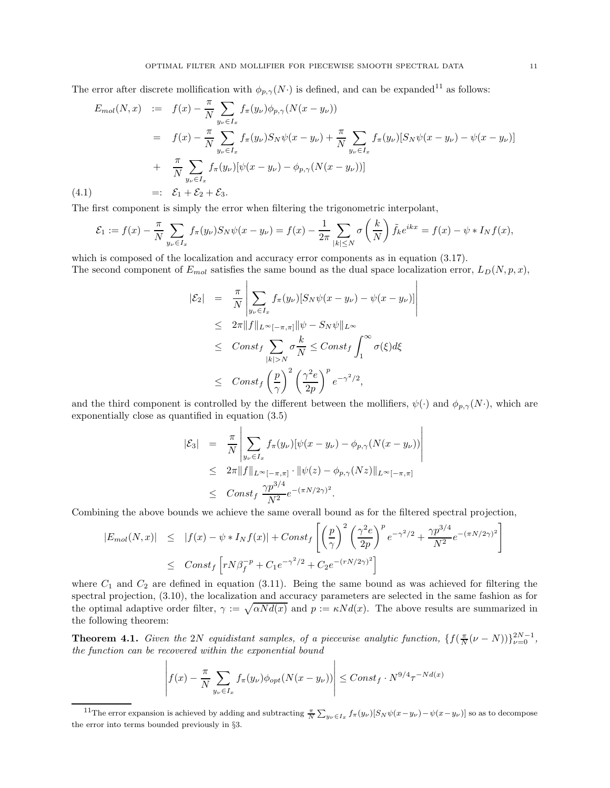The error after discrete mollification with  $\phi_{p,\gamma}(N)$  is defined, and can be expanded<sup>11</sup> as follows:

$$
E_{mol}(N,x) := f(x) - \frac{\pi}{N} \sum_{y_{\nu} \in I_x} f_{\pi}(y_{\nu}) \phi_{p,\gamma}(N(x - y_{\nu}))
$$
  
\n
$$
= f(x) - \frac{\pi}{N} \sum_{y_{\nu} \in I_x} f_{\pi}(y_{\nu}) S_N \psi(x - y_{\nu}) + \frac{\pi}{N} \sum_{y_{\nu} \in I_x} f_{\pi}(y_{\nu}) [S_N \psi(x - y_{\nu}) - \psi(x - y_{\nu})]
$$
  
\n
$$
+ \frac{\pi}{N} \sum_{y_{\nu} \in I_x} f_{\pi}(y_{\nu}) [\psi(x - y_{\nu}) - \phi_{p,\gamma}(N(x - y_{\nu}))]
$$
  
\n(4.1) =:  $\mathcal{E}_1 + \mathcal{E}_2 + \mathcal{E}_3$ .

 $\mathbf{I}$ 

The first component is simply the error when filtering the trigonometric interpolant,

$$
\mathcal{E}_1 := f(x) - \frac{\pi}{N} \sum_{y_\nu \in I_x} f_\pi(y_\nu) S_N \psi(x - y_\nu) = f(x) - \frac{1}{2\pi} \sum_{|k| \le N} \sigma\left(\frac{k}{N}\right) \tilde{f}_k e^{ikx} = f(x) - \psi * I_N f(x),
$$

 $\overline{\phantom{a}}$  $\overline{\phantom{a}}$  $\overline{\phantom{a}}$  $\overline{\phantom{a}}$  $\overline{\phantom{a}}$  $\overline{a}$ 

which is composed of the localization and accuracy error components as in equation  $(3.17)$ . The second component of  $E_{mol}$  satisfies the same bound as the dual space localization error,  $L_D(N, p, x)$ ,

$$
\begin{array}{rcl}\n|\mathcal{E}_2| &=& \frac{\pi}{N} \left| \sum_{y_\nu \in I_x} f_\pi(y_\nu) [S_N \psi(x - y_\nu) - \psi(x - y_\nu)] \right. \\
& \leq & 2\pi \|f\|_{L^\infty[-\pi, \pi]} \|\psi - S_N \psi\|_{L^\infty} \\
& \leq & Const_f \sum_{|k| > N} \sigma \frac{k}{N} \leq Const_f \int_1^\infty \sigma(\xi) d\xi \\
& \leq & Const_f \left(\frac{p}{\gamma}\right)^2 \left(\frac{\gamma^2 e}{2p}\right)^p e^{-\gamma^2/2},\n\end{array}
$$

and the third component is controlled by the different between the mollifiers,  $\psi(\cdot)$  and  $\phi_{p,\gamma}(N\cdot)$ , which are exponentially close as quantified in equation (3.5)

$$
|\mathcal{E}_3| = \frac{\pi}{N} \left| \sum_{y_{\nu} \in I_x} f_{\pi}(y_{\nu}) [\psi(x - y_{\nu}) - \phi_{p,\gamma}(N(x - y_{\nu}))] \right|
$$
  
\n
$$
\leq 2\pi \|f\|_{L^{\infty}[-\pi,\pi]} \cdot \|\psi(z) - \phi_{p,\gamma}(Nz)\|_{L^{\infty}[-\pi,\pi]}
$$
  
\n
$$
\leq \text{Const}_f \frac{\gamma p^{3/4}}{N^2} e^{-(\pi N/2\gamma)^2}.
$$

Combining the above bounds we achieve the same overall bound as for the filtered spectral projection,

$$
|E_{mol}(N,x)| \le |f(x) - \psi * I_N f(x)| + Const_f \left[ \left( \frac{p}{\gamma} \right)^2 \left( \frac{\gamma^2 e}{2p} \right)^p e^{-\gamma^2/2} + \frac{\gamma p^{3/4}}{N^2} e^{-(\pi N/2\gamma)^2} \right]
$$
  

$$
\leq Const_f \left[ r N \beta_f^{-p} + C_1 e^{-\gamma^2/2} + C_2 e^{-(rN/2\gamma)^2} \right]
$$

where  $C_1$  and  $C_2$  are defined in equation (3.11). Being the same bound as was achieved for filtering the spectral projection, (3.10), the localization and accuracy parameters are selected in the same fashion as for the optimal adaptive order filter,  $\gamma := \sqrt{\alpha N d(x)}$  and  $p := \kappa N d(x)$ . The above results are summarized in the following theorem:

**Theorem 4.1.** Given the 2N equidistant samples, of a piecewise analytic function,  $\{f(\frac{\pi}{N}(\nu-N))\}_{\nu=0}^{2N-1}$ , the function can be recovered within the exponential bound

$$
\left| f(x) - \frac{\pi}{N} \sum_{y_{\nu} \in I_x} f_{\pi}(y_{\nu}) \phi_{opt}(N(x - y_{\nu})) \right| \leq Const_f \cdot N^{9/4} \tau^{-Nd(x)}
$$

<sup>&</sup>lt;sup>11</sup>The error expansion is achieved by adding and subtracting  $\frac{\pi}{N} \sum_{y_\nu \in I_x} f_\pi(y_\nu) [S_N \psi(x-y_\nu) - \psi(x-y_\nu)]$  so as to decompose the error into terms bounded previously in §3.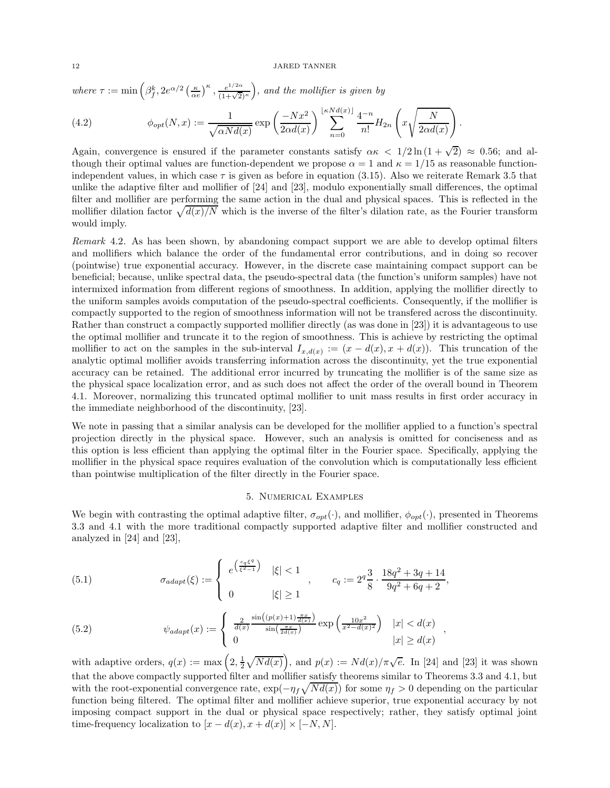where  $\tau := \min \left( \beta_f^k, 2e^{\alpha/2} \left( \frac{\kappa}{\alpha e} \right)^{\kappa}, \frac{e^{1/2\alpha}}{(1+\sqrt{2})^{\kappa}} \right)$ , and the mollifier is given by

(4.2) 
$$
\phi_{opt}(N,x) := \frac{1}{\sqrt{\alpha N d(x)}} \exp\left(\frac{-Nx^2}{2\alpha d(x)}\right) \sum_{n=0}^{\lfloor \kappa N d(x) \rfloor} \frac{4^{-n}}{n!} H_{2n}\left(x\sqrt{\frac{N}{2\alpha d(x)}}\right).
$$

Again, convergence is ensured if the parameter constants satisfy  $\alpha \kappa < 1/2 \ln(1+\sqrt{2}) \approx 0.56$ ; and although their optimal values are function-dependent we propose  $\alpha = 1$  and  $\kappa = 1/15$  as reasonable functionindependent values, in which case  $\tau$  is given as before in equation (3.15). Also we reiterate Remark 3.5 that unlike the adaptive filter and mollifier of [24] and [23], modulo exponentially small differences, the optimal filter and mollifier are performing the same action in the dual and physical spaces. This is reflected in the mollifier dilation factor  $\sqrt{d(x)/N}$  which is the inverse of the filter's dilation rate, as the Fourier transform would imply.

Remark 4.2. As has been shown, by abandoning compact support we are able to develop optimal filters and mollifiers which balance the order of the fundamental error contributions, and in doing so recover (pointwise) true exponential accuracy. However, in the discrete case maintaining compact support can be beneficial; because, unlike spectral data, the pseudo-spectral data (the function's uniform samples) have not intermixed information from different regions of smoothness. In addition, applying the mollifier directly to the uniform samples avoids computation of the pseudo-spectral coefficients. Consequently, if the mollifier is compactly supported to the region of smoothness information will not be transfered across the discontinuity. Rather than construct a compactly supported mollifier directly (as was done in [23]) it is advantageous to use the optimal mollifier and truncate it to the region of smoothness. This is achieve by restricting the optimal mollifier to act on the samples in the sub-interval  $I_{x,d(x)} := (x - d(x), x + d(x))$ . This truncation of the analytic optimal mollifier avoids transferring information across the discontinuity, yet the true exponential accuracy can be retained. The additional error incurred by truncating the mollifier is of the same size as the physical space localization error, and as such does not affect the order of the overall bound in Theorem 4.1. Moreover, normalizing this truncated optimal mollifier to unit mass results in first order accuracy in the immediate neighborhood of the discontinuity, [23].

We note in passing that a similar analysis can be developed for the mollifier applied to a function's spectral projection directly in the physical space. However, such an analysis is omitted for conciseness and as this option is less efficient than applying the optimal filter in the Fourier space. Specifically, applying the mollifier in the physical space requires evaluation of the convolution which is computationally less efficient than pointwise multiplication of the filter directly in the Fourier space.

# 5. Numerical Examples

We begin with contrasting the optimal adaptive filter,  $\sigma_{opt}(\cdot)$ , and mollifier,  $\phi_{opt}(\cdot)$ , presented in Theorems 3.3 and 4.1 with the more traditional compactly supported adaptive filter and mollifier constructed and analyzed in [24] and [23],

(5.1) 
$$
\sigma_{adapt}(\xi) := \begin{cases} e^{\left(\frac{c_q \xi^q}{\xi^2 - 1}\right)} & |\xi| < 1 \\ 0 & |\xi| \ge 1 \end{cases}, \quad c_q := 2^q \frac{3}{8} \cdot \frac{18q^2 + 3q + 14}{9q^2 + 6q + 2},
$$

(5.2) 
$$
\psi_{adapt}(x) := \begin{cases} \frac{2}{d(x)} \frac{\sin((p(x)+1)\frac{\pi x}{d(x)})}{\sin(\frac{\pi x}{2d(x)})} \exp\left(\frac{10x^2}{x^2 - d(x)^2}\right) & |x| < d(x) \\ 0 & |x| \ge d(x) \end{cases}
$$

with adaptive orders,  $q(x) := \max\left(2, \frac{1}{2}\sqrt{Nd(x)}\right)$ , and  $p(x) := Nd(x)/\pi\sqrt{e}$ . In [24] and [23] it was shown that the above compactly supported filter and mollifier satisfy theorems similar to Theorems 3.3 and 4.1, but with the root-exponential convergence rate,  $\exp(-\eta_f\sqrt{Nd(x)})$  for some  $\eta_f > 0$  depending on the particular function being filtered. The optimal filter and mollifier achieve superior, true exponential accuracy by not imposing compact support in the dual or physical space respectively; rather, they satisfy optimal joint time-frequency localization to  $[x - d(x), x + d(x)] \times [-N, N].$ 

,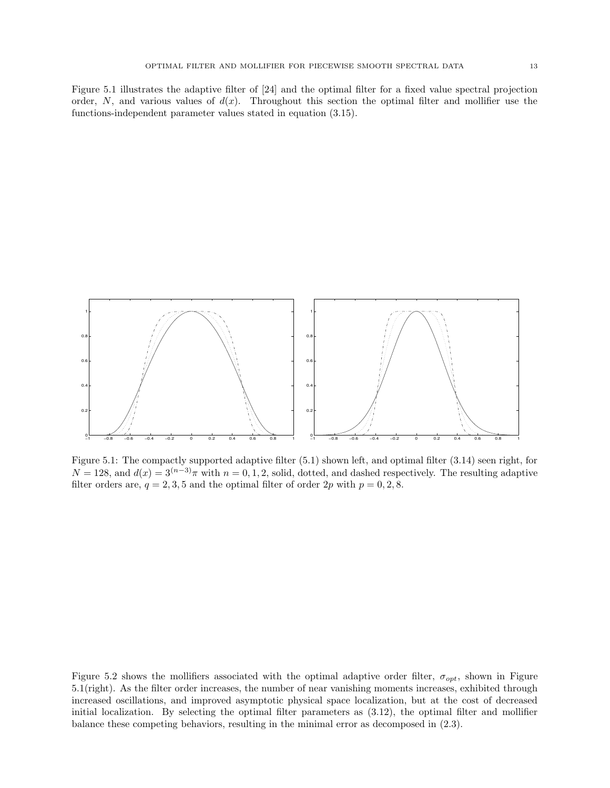Figure 5.1 illustrates the adaptive filter of [24] and the optimal filter for a fixed value spectral projection order, N, and various values of  $d(x)$ . Throughout this section the optimal filter and mollifier use the functions-independent parameter values stated in equation (3.15).



Figure 5.1: The compactly supported adaptive filter (5.1) shown left, and optimal filter (3.14) seen right, for  $N = 128$ , and  $d(x) = 3^{(n-3)}\pi$  with  $n = 0, 1, 2$ , solid, dotted, and dashed respectively. The resulting adaptive filter orders are,  $q = 2, 3, 5$  and the optimal filter of order 2p with  $p = 0, 2, 8$ .

Figure 5.2 shows the mollifiers associated with the optimal adaptive order filter,  $\sigma_{opt}$ , shown in Figure 5.1(right). As the filter order increases, the number of near vanishing moments increases, exhibited through increased oscillations, and improved asymptotic physical space localization, but at the cost of decreased initial localization. By selecting the optimal filter parameters as (3.12), the optimal filter and mollifier balance these competing behaviors, resulting in the minimal error as decomposed in (2.3).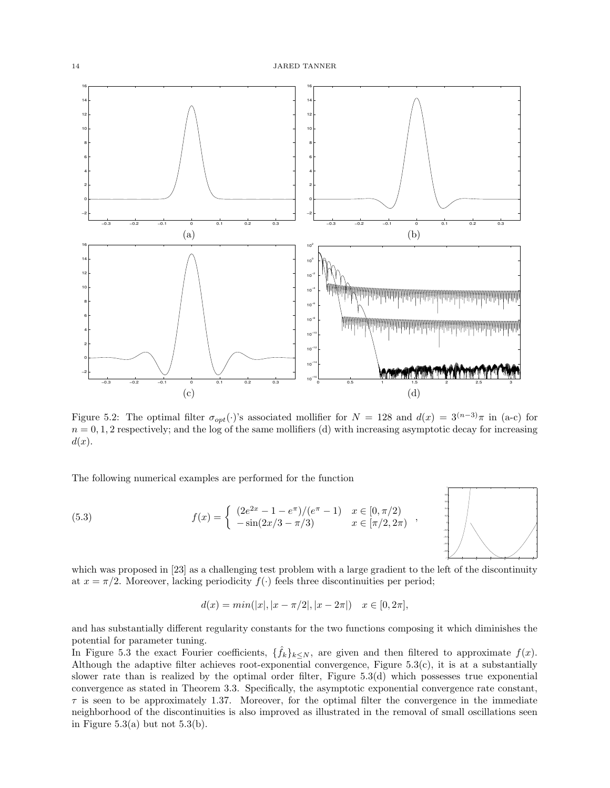

Figure 5.2: The optimal filter  $\sigma_{opt}(\cdot)$ 's associated mollifier for  $N = 128$  and  $d(x) = 3^{(n-3)}\pi$  in (a-c) for  $n = 0, 1, 2$  respectively; and the log of the same mollifiers (d) with increasing asymptotic decay for increasing  $d(x)$ .

The following numerical examples are performed for the function

(5.3) 
$$
f(x) = \begin{cases} (2e^{2x} - 1 - e^{\pi})/(e^{\pi} - 1) & x \in [0, \pi/2) \\ -\sin(2x/3 - \pi/3) & x \in [\pi/2, 2\pi) \end{cases}
$$



which was proposed in [23] as a challenging test problem with a large gradient to the left of the discontinuity at  $x = \pi/2$ . Moreover, lacking periodicity  $f(\cdot)$  feels three discontinuities per period;

$$
d(x) = min(|x|, |x - \pi/2|, |x - 2\pi|) \quad x \in [0, 2\pi],
$$

and has substantially different regularity constants for the two functions composing it which diminishes the potential for parameter tuning.

In Figure 5.3 the exact Fourier coefficients,  $\{\hat{f}_k\}_{k\leq N}$ , are given and then filtered to approximate  $f(x)$ . Although the adaptive filter achieves root-exponential convergence, Figure  $5.3(c)$ , it is at a substantially slower rate than is realized by the optimal order filter, Figure 5.3(d) which possesses true exponential convergence as stated in Theorem 3.3. Specifically, the asymptotic exponential convergence rate constant,  $\tau$  is seen to be approximately 1.37. Moreover, for the optimal filter the convergence in the immediate neighborhood of the discontinuities is also improved as illustrated in the removal of small oscillations seen in Figure 5.3(a) but not  $5.3(b)$ .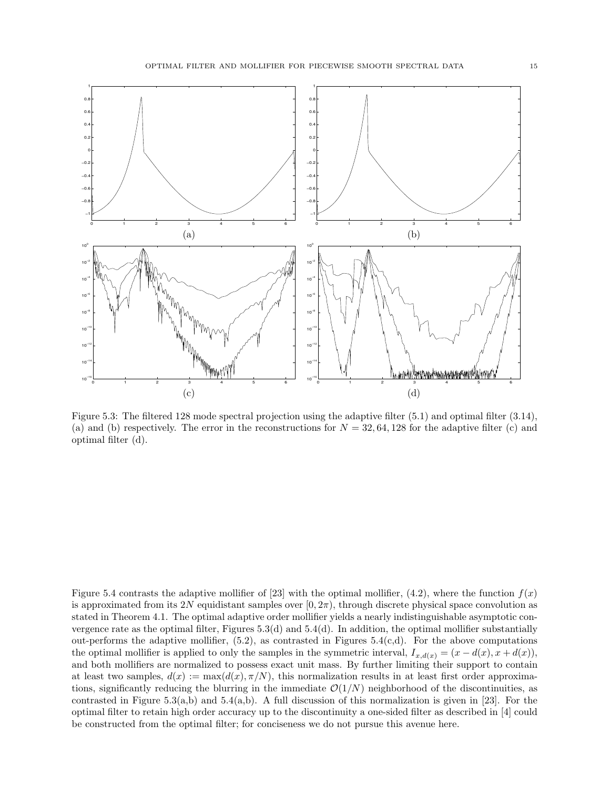

Figure 5.3: The filtered 128 mode spectral projection using the adaptive filter (5.1) and optimal filter (3.14), (a) and (b) respectively. The error in the reconstructions for  $N = 32, 64, 128$  for the adaptive filter (c) and optimal filter (d).

Figure 5.4 contrasts the adaptive mollifier of [23] with the optimal mollifier, (4.2), where the function  $f(x)$ is approximated from its 2N equidistant samples over  $[0, 2\pi)$ , through discrete physical space convolution as stated in Theorem 4.1. The optimal adaptive order mollifier yields a nearly indistinguishable asymptotic convergence rate as the optimal filter, Figures  $5.3(d)$  and  $5.4(d)$ . In addition, the optimal mollifier substantially out-performs the adaptive mollifier,  $(5.2)$ , as contrasted in Figures  $5.4(c,d)$ . For the above computations the optimal mollifier is applied to only the samples in the symmetric interval,  $I_{x,d(x)} = (x - d(x), x + d(x))$ , and both mollifiers are normalized to possess exact unit mass. By further limiting their support to contain at least two samples,  $d(x) := \max(d(x), \pi/N)$ , this normalization results in at least first order approximations, significantly reducing the blurring in the immediate  $\mathcal{O}(1/N)$  neighborhood of the discontinuities, as contrasted in Figure 5.3(a,b) and 5.4(a,b). A full discussion of this normalization is given in [23]. For the optimal filter to retain high order accuracy up to the discontinuity a one-sided filter as described in [4] could be constructed from the optimal filter; for conciseness we do not pursue this avenue here.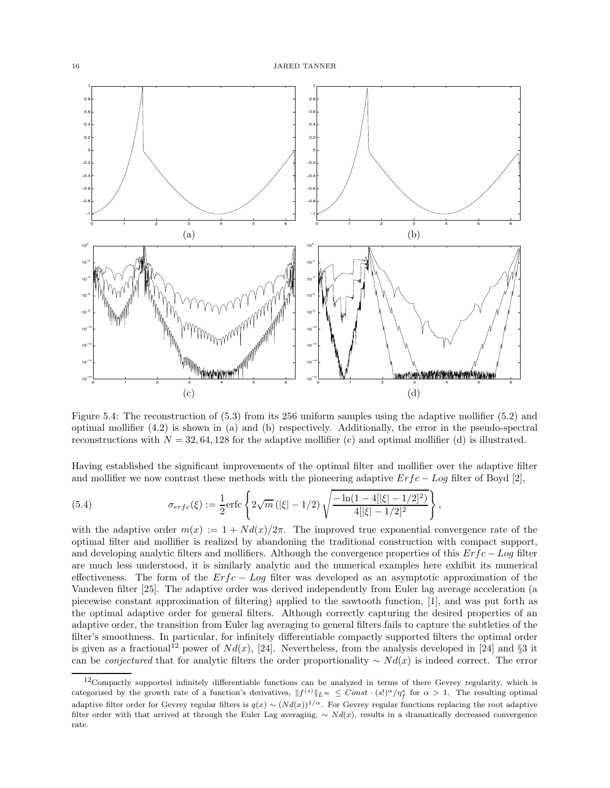

Figure 5.4: The reconstruction of (5.3) from its 256 uniform samples using the adaptive mollifier (5.2) and optimal mollifier (4.2) is shown in (a) and (b) respectively. Additionally, the error in the pseudo-spectral reconstructions with  $N = 32, 64, 128$  for the adaptive mollifier (c) and optimal mollifier (d) is illustrated.

Having established the significant improvements of the optimal filter and mollifier over the adaptive filter and mollifier we now contrast these methods with the pioneering adaptive  $Erfc - Log$  filter of Boyd [2],

(5.4) 
$$
\sigma_{erfc}(\xi) := \frac{1}{2} \text{erfc} \left\{ 2\sqrt{m} \left( |\xi| - 1/2 \right) \sqrt{\frac{-\ln(1 - 4[|\xi| - 1/2]^2)}{4[|\xi| - 1/2]^2}} \right\},
$$

with the adaptive order  $m(x) := 1 + Nd(x)/2\pi$ . The improved true exponential convergence rate of the optimal filter and mollifier is realized by abandoning the traditional construction with compact support, and developing analytic filters and mollifiers. Although the convergence properties of this  $Erfc - Log$  filter are much less understood, it is similarly analytic and the numerical examples here exhibit its numerical effectiveness. The form of the  $Erfc - Log$  filter was developed as an asymptotic approximation of the Vandeven filter [25]. The adaptive order was derived independently from Euler lag average acceleration (a piecewise constant approximation of filtering) applied to the sawtooth function, [1], and was put forth as the optimal adaptive order for general filters. Although correctly capturing the desired properties of an adaptive order, the transition from Euler lag averaging to general filters fails to capture the subtleties of the filter's smoothness. In particular, for infinitely differentiable compactly supported filters the optimal order is given as a fractional<sup>12</sup> power of  $Nd(x)$ , [24]. Nevertheless, from the analysis developed in [24] and §3 it can be *conjectured* that for analytic filters the order proportionality  $~ ∆ Nd(x)$  is indeed correct. The error

 $12$ Compactly supported infinitely differentiable functions can be analyzed in terms of there Gevrey regularity, which is categorized by the growth rate of a function's derivatives,  $||f^{(s)}||_{L^{\infty}} \leq Const \cdot (s!)^{\alpha}/\eta_{f}^{s}$  for  $\alpha > 1$ . The resulting optimal adaptive filter order for Gevrey regular filters is  $q(x) \sim (Nd(x))^{1/\alpha}$ . For Gevrey regular functions replacing the root adaptive filter order with that arrived at through the Euler Lag averaging,  $\sim Nd(x)$ , results in a dramatically decreased convergence rate.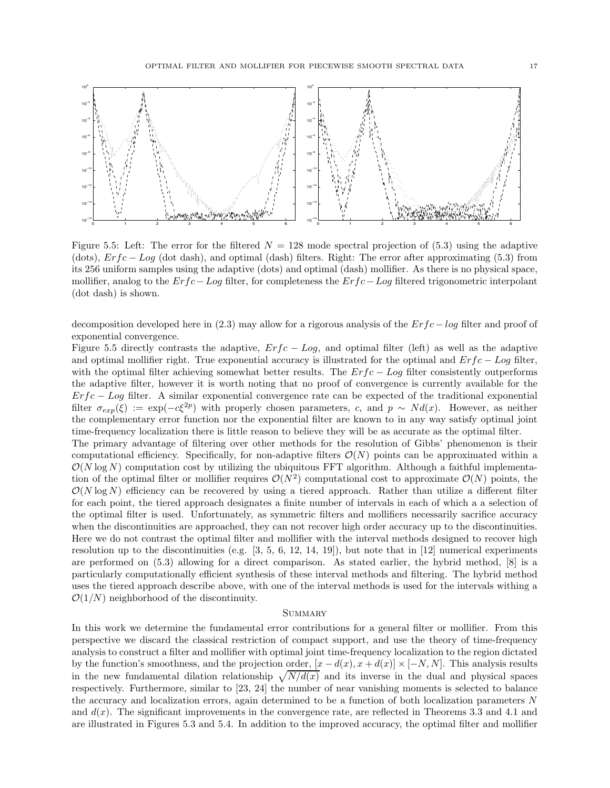



Figure 5.5: Left: The error for the filtered  $N = 128$  mode spectral projection of (5.3) using the adaptive (dots),  $Erfc - Log$  (dot dash), and optimal (dash) filters. Right: The error after approximating (5.3) from its 256 uniform samples using the adaptive (dots) and optimal (dash) mollifier. As there is no physical space, mollifier, analog to the  $Erfc-Log$  filter, for completeness the  $Erfc-Log$  filtered trigonometric interpolant (dot dash) is shown.

decomposition developed here in (2.3) may allow for a rigorous analysis of the Erfc − log filter and proof of exponential convergence.

Figure 5.5 directly contrasts the adaptive,  $Erfc - Log$ , and optimal filter (left) as well as the adaptive and optimal mollifier right. True exponential accuracy is illustrated for the optimal and  $Erfc - Log$  filter, with the optimal filter achieving somewhat better results. The  $Erfc - Log$  filter consistently outperforms the adaptive filter, however it is worth noting that no proof of convergence is currently available for the  $Erfc - Log$  filter. A similar exponential convergence rate can be expected of the traditional exponential filter  $\sigma_{exp}(\xi) := \exp(-c\xi^{2p})$  with properly chosen parameters, c, and  $p \sim Nd(x)$ . However, as neither the complementary error function nor the exponential filter are known to in any way satisfy optimal joint time-frequency localization there is little reason to believe they will be as accurate as the optimal filter. The primary advantage of filtering over other methods for the resolution of Gibbs' phenomenon is their computational efficiency. Specifically, for non-adaptive filters  $\mathcal{O}(N)$  points can be approximated within a  $\mathcal{O}(N \log N)$  computation cost by utilizing the ubiquitous FFT algorithm. Although a faithful implementation of the optimal filter or mollifier requires  $\mathcal{O}(N^2)$  computational cost to approximate  $\mathcal{O}(N)$  points, the  $\mathcal{O}(N \log N)$  efficiency can be recovered by using a tiered approach. Rather than utilize a different filter for each point, the tiered approach designates a finite number of intervals in each of which a a selection of the optimal filter is used. Unfortunately, as symmetric filters and mollifiers necessarily sacrifice accuracy when the discontinuities are approached, they can not recover high order accuracy up to the discontinuities. Here we do not contrast the optimal filter and mollifier with the interval methods designed to recover high resolution up to the discontinuities (e.g. [3, 5, 6, 12, 14, 19]), but note that in [12] numerical experiments are performed on (5.3) allowing for a direct comparison. As stated earlier, the hybrid method, [8] is a particularly computationally efficient synthesis of these interval methods and filtering. The hybrid method uses the tiered approach describe above, with one of the interval methods is used for the intervals withing a  $\mathcal{O}(1/N)$  neighborhood of the discontinuity.

## **SUMMARY**

In this work we determine the fundamental error contributions for a general filter or mollifier. From this perspective we discard the classical restriction of compact support, and use the theory of time-frequency analysis to construct a filter and mollifier with optimal joint time-frequency localization to the region dictated by the function's smoothness, and the projection order,  $[x - d(x), x + d(x)] \times [-N, N]$ . This analysis results in the new fundamental dilation relationship  $\sqrt{N/d(x)}$  and its inverse in the dual and physical spaces respectively. Furthermore, similar to [23, 24] the number of near vanishing moments is selected to balance the accuracy and localization errors, again determined to be a function of both localization parameters N and  $d(x)$ . The significant improvements in the convergence rate, are reflected in Theorems 3.3 and 4.1 and are illustrated in Figures 5.3 and 5.4. In addition to the improved accuracy, the optimal filter and mollifier